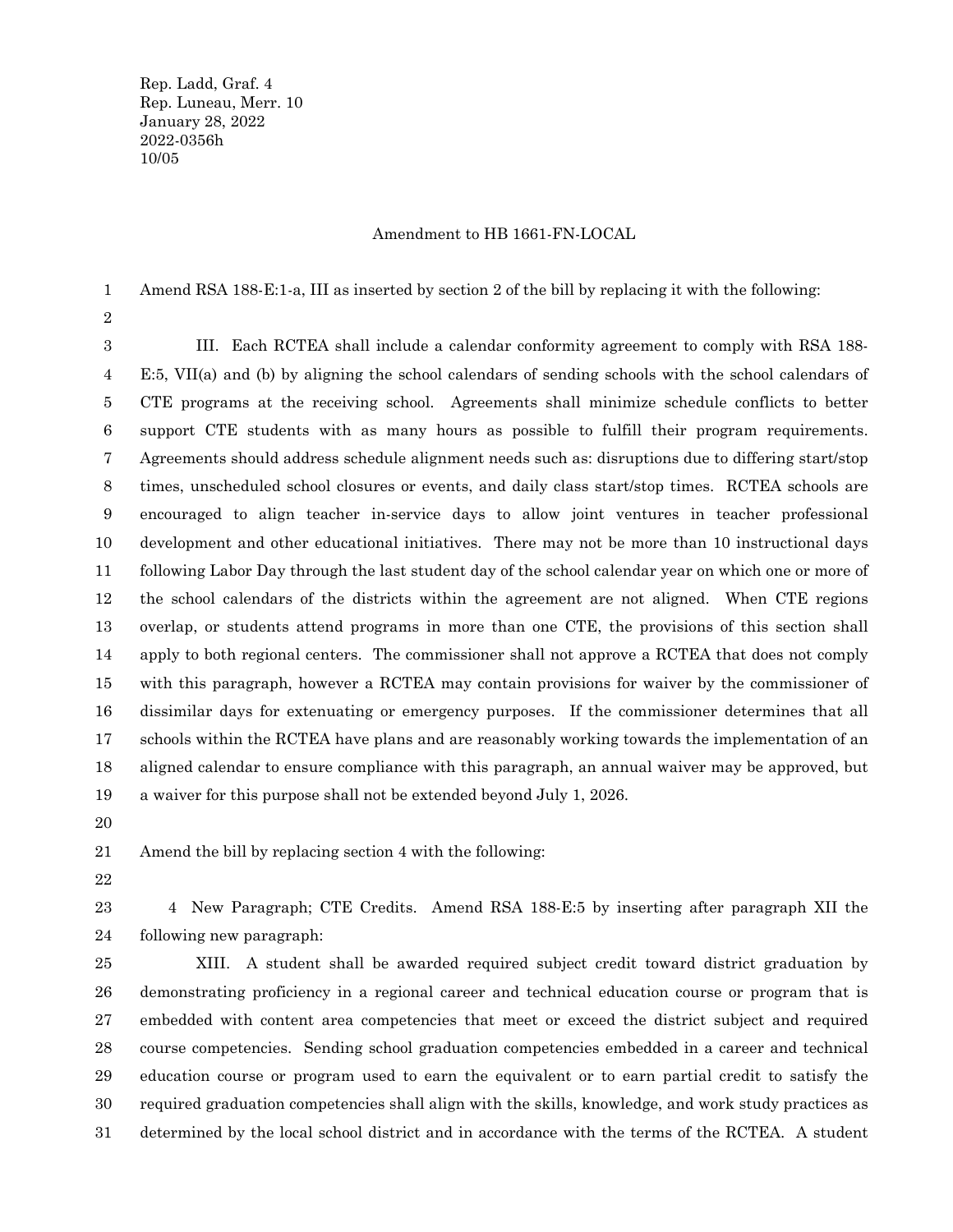Rep. Ladd, Graf. 4 Rep. Luneau, Merr. 10 January 28, 2022 2022-0356h 10/05

## Amendment to HB 1661-FN-LOCAL

Amend RSA 188-E:1-a, III as inserted by section 2 of the bill by replacing it with the following: 1

2

III. Each RCTEA shall include a calendar conformity agreement to comply with RSA 188- E:5, VII(a) and (b) by aligning the school calendars of sending schools with the school calendars of CTE programs at the receiving school. Agreements shall minimize schedule conflicts to better support CTE students with as many hours as possible to fulfill their program requirements. Agreements should address schedule alignment needs such as: disruptions due to differing start/stop times, unscheduled school closures or events, and daily class start/stop times. RCTEA schools are encouraged to align teacher in-service days to allow joint ventures in teacher professional development and other educational initiatives. There may not be more than 10 instructional days following Labor Day through the last student day of the school calendar year on which one or more of the school calendars of the districts within the agreement are not aligned. When CTE regions overlap, or students attend programs in more than one CTE, the provisions of this section shall apply to both regional centers. The commissioner shall not approve a RCTEA that does not comply with this paragraph, however a RCTEA may contain provisions for waiver by the commissioner of dissimilar days for extenuating or emergency purposes. If the commissioner determines that all schools within the RCTEA have plans and are reasonably working towards the implementation of an aligned calendar to ensure compliance with this paragraph, an annual waiver may be approved, but a waiver for this purpose shall not be extended beyond July 1, 2026. 3 4 5 6 7 8 9 10 11 12 13 14 15 16 17 18 19

20

Amend the bill by replacing section 4 with the following: 21

22

4 New Paragraph; CTE Credits. Amend RSA 188-E:5 by inserting after paragraph XII the following new paragraph: 23 24

XIII. A student shall be awarded required subject credit toward district graduation by demonstrating proficiency in a regional career and technical education course or program that is embedded with content area competencies that meet or exceed the district subject and required course competencies. Sending school graduation competencies embedded in a career and technical education course or program used to earn the equivalent or to earn partial credit to satisfy the required graduation competencies shall align with the skills, knowledge, and work study practices as determined by the local school district and in accordance with the terms of the RCTEA. A student 25 26 27 28 29 30 31